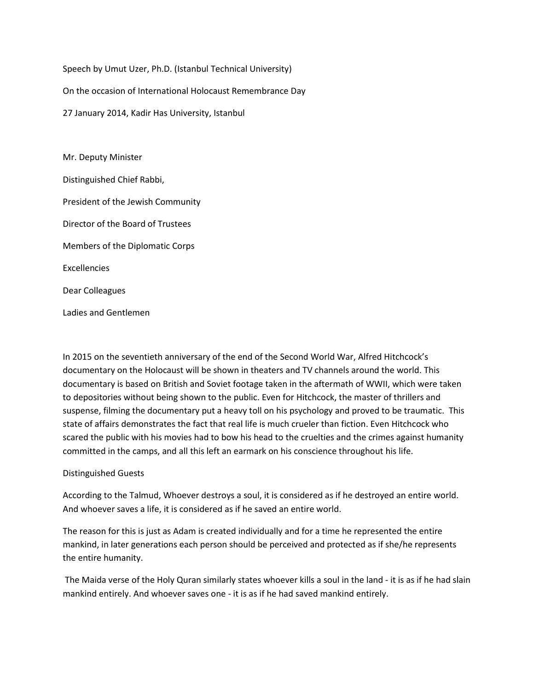Speech by Umut Uzer, Ph.D. (Istanbul Technical University)

On the occasion of International Holocaust Remembrance Day

27 January 2014, Kadir Has University, Istanbul

Mr. Deputy Minister Distinguished Chief Rabbi, President of the Jewish Community Director of the Board of Trustees Members of the Diplomatic Corps Excellencies Dear Colleagues Ladies and Gentlemen

In 2015 on the seventieth anniversary of the end of the Second World War, Alfred Hitchcock's documentary on the Holocaust will be shown in theaters and TV channels around the world. This documentary is based on British and Soviet footage taken in the aftermath of WWII, which were taken to depositories without being shown to the public. Even for Hitchcock, the master of thrillers and suspense, filming the documentary put a heavy toll on his psychology and proved to be traumatic. This state of affairs demonstrates the fact that real life is much crueler than fiction. Even Hitchcock who scared the public with his movies had to bow his head to the cruelties and the crimes against humanity committed in the camps, and all this left an earmark on his conscience throughout his life.

## Distinguished Guests

According to the Talmud, Whoever destroys a soul, it is considered as if he destroyed an entire world. And whoever saves a life, it is considered as if he saved an entire world.

The reason for this is just as Adam is created individually and for a time he represented the entire mankind, in later generations each person should be perceived and protected as if she/he represents the entire humanity.

The Maida verse of the Holy Quran similarly states whoever kills a soul in the land - it is as if he had slain mankind entirely. And whoever saves one - it is as if he had saved mankind entirely.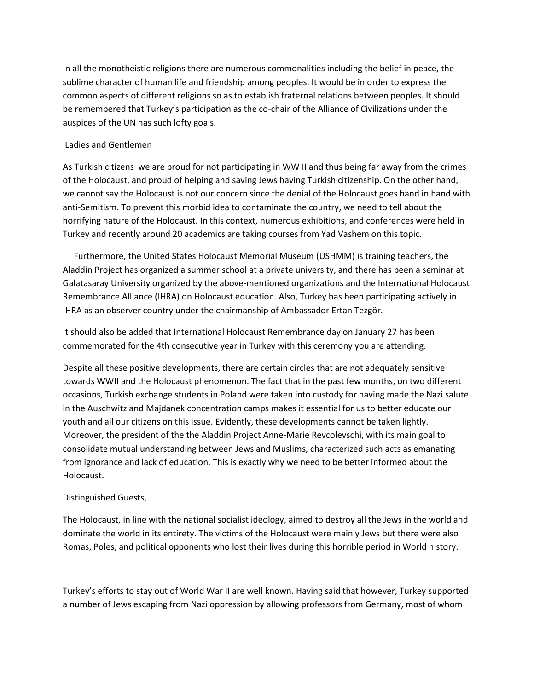In all the monotheistic religions there are numerous commonalities including the belief in peace, the sublime character of human life and friendship among peoples. It would be in order to express the common aspects of different religions so as to establish fraternal relations between peoples. It should be remembered that Turkey's participation as the co-chair of the Alliance of Civilizations under the auspices of the UN has such lofty goals.

## Ladies and Gentlemen

As Turkish citizens we are proud for not participating in WW II and thus being far away from the crimes of the Holocaust, and proud of helping and saving Jews having Turkish citizenship. On the other hand, we cannot say the Holocaust is not our concern since the denial of the Holocaust goes hand in hand with anti-Semitism. To prevent this morbid idea to contaminate the country, we need to tell about the horrifying nature of the Holocaust. In this context, numerous exhibitions, and conferences were held in Turkey and recently around 20 academics are taking courses from Yad Vashem on this topic.

 Furthermore, the United States Holocaust Memorial Museum (USHMM) is training teachers, the Aladdin Project has organized a summer school at a private university, and there has been a seminar at Galatasaray University organized by the above-mentioned organizations and the International Holocaust Remembrance Alliance (IHRA) on Holocaust education. Also, Turkey has been participating actively in IHRA as an observer country under the chairmanship of Ambassador Ertan Tezgör.

It should also be added that International Holocaust Remembrance day on January 27 has been commemorated for the 4th consecutive year in Turkey with this ceremony you are attending.

Despite all these positive developments, there are certain circles that are not adequately sensitive towards WWII and the Holocaust phenomenon. The fact that in the past few months, on two different occasions, Turkish exchange students in Poland were taken into custody for having made the Nazi salute in the Auschwitz and Majdanek concentration camps makes it essential for us to better educate our youth and all our citizens on this issue. Evidently, these developments cannot be taken lightly. Moreover, the president of the the Aladdin Project Anne-Marie Revcolevschi, with its main goal to consolidate mutual understanding between Jews and Muslims, characterized such acts as emanating from ignorance and lack of education. This is exactly why we need to be better informed about the Holocaust.

## Distinguished Guests,

The Holocaust, in line with the national socialist ideology, aimed to destroy all the Jews in the world and dominate the world in its entirety. The victims of the Holocaust were mainly Jews but there were also Romas, Poles, and political opponents who lost their lives during this horrible period in World history.

Turkey's efforts to stay out of World War II are well known. Having said that however, Turkey supported a number of Jews escaping from Nazi oppression by allowing professors from Germany, most of whom